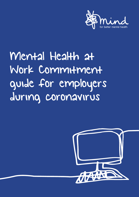

# Mental Health at Work Commitment guide for employers during coronavirus

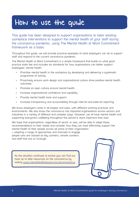# How to use the guide

This guide has been designed to support organisations to tailor existing workplace interventions to support the mental health of your staff during the coronavirus pandemic, using The Mental Health at Work Commitment framework as a basis.

Throughout this guide, we will provide practical examples of what employers can do to support staff and respond to the current coronavirus pandemic.

The Mental Health at Work Commitment is a simple framework that builds on what good practice looks like and includes six standards for how organisations can better support employees' mental health:

- Prioritise mental health in the workplace by developing and delivering a systematic programme of activity.
- Proactively ensure work design and organisational culture drive positive mental health outcomes.
- Promote an open culture around mental health.
- Increase organisational confidence and capability.
- Provide mental health tools and support.
- Increase transparency and accountability through internal and external reporting.

We know employers come in all shapes and sizes, with different working practices and environments. We also know the coronavirus has impacted organisations across sectors and industries in a variety of different and complex ways. However, we all have mental health and supporting everyone's wellbeing throughout this period is more important than ever.

We hope that organisations, regardless of sector or size, will be able to adapt these recommendations to their needs and consider how they can most effectively support the mental health of their people across all areas of their organisation – adopting a range of approaches and channels to engage people who are classed as key workers, remote workers and staff that are on furlough.

As the situation continues to evolve you can find our most up to date resources on the coronavirus by visiting [www.mentalhealthatwork.org.uk/coronavirus](http://www.mentalhealthatwork.org.uk/coronavirus)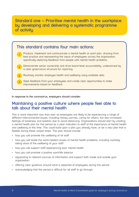#### **Standard one – Prioritise mental health in the workplace by developing and delivering a systematic programme of activity**



**In response to the coronavirus, employers should consider:**

#### **Maintaining a positive culture where people feel able to talk about their mental health**

This is more important now than ever as employees are likely to be experiencing a range of different interconnected issues; including money worries, caring for others, but also increased feelings of loneliness and isolation due to social distancing. Organisations should start by creating a mental health plan for this period as a clear indication to staff of the importance of mental health and wellbeing at this time. This could build upon a plan you already have, or be a new plan that is flexible during these unique times. This plan should include:

- how you will promote the wellbeing of all staff
- how you will tackle the work-related causes of mental health problems, including routinely taking stock of the wellbeing of your staff
- how you will support staff experiencing poor mental health
- how you will promote a positive work/life balance
- signposting to relevant sources of information and support both inside and outside your organisation
- offering clear guidance around what is expected of employees during this period
- acknowledging that this period is difficult for all staff to go through.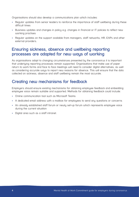Organisations should also develop a communications plan which includes:

- Regular updates from senior leaders to reinforce the importance of staff wellbeing during these difficult times
- Business updates and changes in policu e.g. changes in financial or IT policies to reflect new working practises
- Regular updates on the support available from managers, staff networks, HR, EAPs and other external providers.

#### **Ensuring sickness, absence and wellbeing reporting processes are adapted for new ways of working**

As organisations adapt to changing circumstances presented bu the coronavirus it is important that underlying reporting processes remain supported. Organisations that make use of paper return to work forms and face to face meetings will need to consider digital alternatives, as well as considering accurate ways to report new reasons for absence. This will ensure that the data collected on sickness, absence and staff wellbeing remain the most accurate.

#### **Creating new mechanisms for feedback**

Employers should ensure existing mechanisms for obtaining employee feedback and embedding employee voice remain suitable and supported. Methods for obtaining feedback could include:

- Online communication tool such as Microsoft Teams
- A dedicated email address with a mailbox for employees to send any questions or concerns
- An already established staff forum or newly set-up forum which represents employee voice during the current situation
- Digital area such as a staff intranet.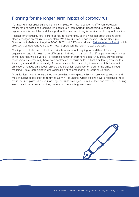#### **Planning for the longer-term impact of coronavirus**

It's important that organisations put plans in place on how to support staff when lockdown measures are eased and working life adapts to a 'new normal'. Responding to change within organisations is inevitable and it's important that staff wellbeing is considered throughout this time.

Feelings of uncertainty are likely to persist for some time, so it is vital that organisations send clear messages on return-to-work plans. We have worked in partnership with the Society of Occupational Medicine alongside ACAS, BITC and CIPD to produce a [Return to Work Toolkit](http://www.som.org.uk/return-to-work) which provides a comprehensive guide on how to approach the return to work process.

Coming out of lockdown will not be a simple reversal – it is going to be different for every organisation and it is going to be different for individual members of staff as people's experiences of the outbreak will be varied. For example, whether staff have been furloughed, provide caring responsibilities, some may have even contracted the virus or lost a friend or family member to it. As such, some staff will have significant concerns about returning to work and it is important that employers manage employees' anxiety and potential reluctance to return to the office through meaningful two-way dialogue and exploration of tailored individual ways of working.

Organisations need to ensure they are providing a workplace which is coronavirus secure, and they shouldn't expect staff to return to work if it is unsafe. Organisations have a responsibility to make the workplace safe and work together with employees to make decisions over their working environment and ensure that they understand new safety measures.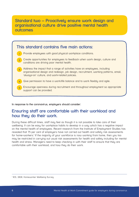#### **Standard two – Proactively ensure work design and organisational culture drive positive mental health outcomes**



**In response to the coronavirus, employers should consider:**

#### **Ensuring staff are comfortable with their workload and how they do their work.**

During these difficult times, staff may feel as though it is not possible to take care of their wellbeing. It can be easy for workplace habits to develop in a way which has a negative impact on the mental health of employees. Recent research from the Institute of Employment Studies has revealed that 75 per cent of employers have not carried out health and safety risk assessments for home-workers.<sup>1</sup> If the majority of your workforce is now working from home, then you too may be restricted in carrying out usual risk assessments for health and safety including for mental health and stress. Managers need to keep checking in with their staff to ensure that they are comfortable with their workload, and how they do their work.

<sup>&</sup>lt;sup>1</sup> IES, 2020, Homeworker Wellbeing Survey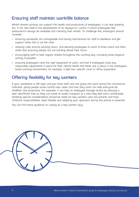# **Ensuring staff maintain work/life balance**

Whilst remote working can support the health and productivity of employees, it can feel isolating too. It can also lead to the development of an always-on' culture in which employees feel pressured to always be available and checking their emails. To challenge this, employers should consider:

- ensuring workloads are manageable and having mechanisms for staff to feedback and get support when this is not the case
- relaxing rules around working hours, and allowing employees to work at times which suit them while also ensuring people are not working above their hours
- encouraging staff to take regular breaks throughout the working day, including some physical activity if possible.
- ensuring employees have the right equipment to work, and that if employees have any reasonable adjustments in place for their mental health that these are in place in the employee's home working environment, for example, a light box, specific chair or office equipment.

# **Offering flexibility for key workers**

If your workplace is still open and you have staff who are going into work during the coronavirus outbreak, giving people some control over when and how they work can help everyone be healthier and productive. For example, it can help an employee manage stress by allowing a later start/finish time so they can travel on public transport at a time they feel more comfortable. Similarly special considerations should be made for key workers who are parents and have childcare responsibilities, been flexible and adapting your approach during this period is essential.

You can find more guidance on coping as a key worker [here.](https://www.mind.org.uk/information-support/coronavirus/coping-as-a-key-worker/#collapse871a3)

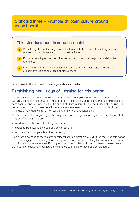#### **Standard three – Promote an open culture around mental health**



**In response to the coronavirus, employers should consider:**

#### **Establishing new ways of working for this period**

The coronavirus pandemic will require organisations to implement numerous new ways of working. Some of these may be limited to the current period, whilst some may be embedded as permanent changes. Undoubtedly, the speed at which many of these new ways of working will be deployed across businesses will necessitate some level trial and error, so it is also important to think about how you will reflect on what's working well and what isn't.

Poor communication regarding such changes and new ways of working can cause stress. Staff may be affected if they are:

- overloaded with information they can't process
- excluded from key knowledge and conversations
- unable to tell managers how they're feeling.

Employers also need to make extra considerations for members of staff who may find this period more challenging due to being alone, being parents or carers, or if they themselves or someone they live with becomes unwell. Employers should be flexible and consider relaxing rules around sick pay and extending other leave entitlements such as sick leave and carers leave.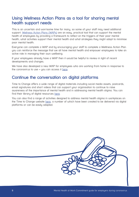## **Using Wellness Action Plans as a tool for sharing mental health support needs**

This is an uncertain and worrisome time for many, so some of your staff may need additional support. [Wellness Action Plans \(WAPs\)](https://www.mind.org.uk/workplace/mental-health-at-work/taking-care-of-your-staff/employer-resources/wellness-action-plan-download/) are an easy, practical tool that can support the mental health of employees by providing a framework to reflect on the triggers of their poor mental health, what activities support their mental health and what strategies they might adopt to minimise poor mental health.

Everyone can complete a WAP and by encouraging your staff to complete a Welllness Action Plan you can reinforce the message that we all have mental health and empower employees to take an active role in managing their own wellbeing.

If your employees already have a WAP then it would be helpful to review in light of recent developments and changes.

We have also developed a new WAP for employees who are working from home in response to the coronavirus to use – you can access it [here](https://www.mind.org.uk/media-a/5802/22078_work-from-home-wap-final.pdf).

#### **Continue the conversation on digital platforms**

Time to Change offers a wide range of digital materials including social media assets, postcards, email signatures and short videos that can support your organisation to continue to raise awareness of the importance of mental health and in addressing mental health stigma. You can find their library of digital resources [here.](https://www.time-to-change.org.uk/resources/create-download-materials#/~/embed/collections)

You can also find a range of activities designed to address mental health stigma in workplaces on the Time to Change website [here,](https://www.time-to-change.org.uk/get-involved/get-your-workplace-involved/resources/networking-masterclasses) a number of which have been created to be delivered via digital platforms or can be easily adapted.

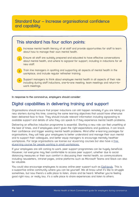# **Standard four – Increase organisational confidence and capability**



**In response to the coronavirus, employers should consider:**

# **Digital capabilities in delivering training and support**

Organisations should ensure that proper inductions can still happen remotely if you are taking on new starters during this time, covering the same learning objectives that would have otherwise been delivered face to face. They should include relevant information including signposting to available support and details of who they can speak to if they experience mental health problems.

Delivering an effective induction programme is essential. Starting a new role can feel unsettling at the best of times, and if employees aren't given the right expectations and guidance, it can knock their confidence and trigger existing mental health problems. Mind offer e-learning packages for organisations, they will help your employees to better understand and manage their own mental and to support their colleagues, and better equip managers to encourage mentally healthier workplaces. For large organisations we license our eLearning courses but also have a [free](https://www.mind.org.uk/workplace/training-consultancy/e-learning/?ctaId=/workplace/training-consultancy/slices/elearning-offer/#freeelearning)  [eLearning course for people working in small workplaces.](https://www.mind.org.uk/workplace/training-consultancy/e-learning/?ctaId=/workplace/training-consultancy/slices/elearning-offer/#freeelearning)

If your employees are still coming to work, peer support programmes can be hugely beneficial. However, not everyone may feel comfortable to access peer support, whether due to social distancing measures or their own comfort in discussing their mental health, so communications including newsletters, intranet pages, online platforms such as Microsoft Teams and Slack can also be valuable.

You could also encourage employees to access online peer support such as Elefriends. This is a supportive online community where you can be yourself. We all know what it's like to struggle sometimes, but now there's a safe place to listen, share and be heard. Whether you're feeling good right now, or really low, it's a safe place to share experiences and listen to others.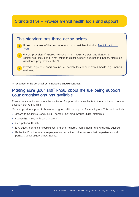# **Standard five – Provide mental health tools and support**



**In response to the coronavirus, employers should consider:**

#### **Making sure your staff know about the wellbeing support your organisations has available**

Ensure your employees know the package of support that is available to them and know how to access it during this time.

You can provide support in-house or buy in additional support for employees. This could include:

- access to Cognitive Behavioural Therapy (including through digital platforms)
- counselling through Access to Work
- Occupational Health
- Employee Assistance Programmes and other tailored mental health and wellbeing support
- Reflective Practice where employees can examine and learn from their experiences and perhaps adopt practical new habits.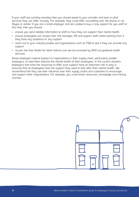If your staff are working remotely then you should speak to your provider and look at what services they can offer virtually. For example, they could offer counselling over the phone or via Skype or similar. If you are a small employer and are unable to buy in any support for you staff at this time, then you should:

- ensure you send reliable information to staff on how they can support their mental health
- ensure employees can access their line manager, HR and support staff whilst working from if they have any questions or any support
- reach out to your industry bodies and organisations such as FSB to see if they can provide any support
- access the free Health for Work Advice Line service provided by NHS occupational health services.

Some employers extend support to organisations in their supply chain, particularly smaller employers, to help them improve the mental health of their employees. In the current situation, employers that have the resources to offer such support have an important role to play in ensuring that all employees have the support they need to look after their mental health. We recommend that they use their influence over their supply chains and customers to encourage and support other organisations. For example, you could share resources, knowledge and training courses.

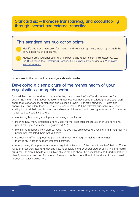#### **Standard six – Increase transparency and accountability through internal and external reporting**

#### **This standard has two action points:**

- Identify and track measures for internal and external reporting, including through the annual reports and accounts.
- Measure organisational activity and impact using robust external frameworks, e.g. the [Business in the Community Responsible Business Tracker](https://www.bitc.org.uk/the-responsible-business-tracker/) and our [Workplace](https://www.mind.org.uk/workplace/workplace-wellbeing-index/)  [Wellbeing Index.](https://www.mind.org.uk/workplace/workplace-wellbeing-index/) 2

**In response to the coronavirus, employers should consider:**

1

#### **Developing a clear picture of the mental health of your organisation during this period.**

This will help you understand what is affecting mental health of staff and how well you're supporting them. Think about the tools and methods you have used previously to ask your staff about their experiences, perceptions and wellbeing levels – like staff surveys, HR data and appraisals – and adapt them to the current environment. Putting relevant questions into these existing tools will help you build a comprehensive picture, without creating extra work. Some other measures you could include are:

- monitoring how many employees are taking annual leave
- tracking how many employees have used internal peer support groups or, if you have one, your Employee Assistance Programme (EAP)
- monitoring feedback from staff surveus to see how employees are feeling and if they feel this period has impacted their mental health
- surveying staff throughout the period to find out how they are doing and whether there is any further support you could provide.

At a team level, it's important managers regularly take stock of the mental health of their staff, the types of pressures they're under and how to alleviate them. A useful way of doing this is to carry out a regular mental health audit, which allows staff to share their challenges and work together to identify solutions. You can find more information on this in our How to take stock of mental health in your workplace guide [here.](https://www.mind.org.uk/media/42862/Resource_2_Take_Stock_of_MH_in_your_workplace_final.pdf)